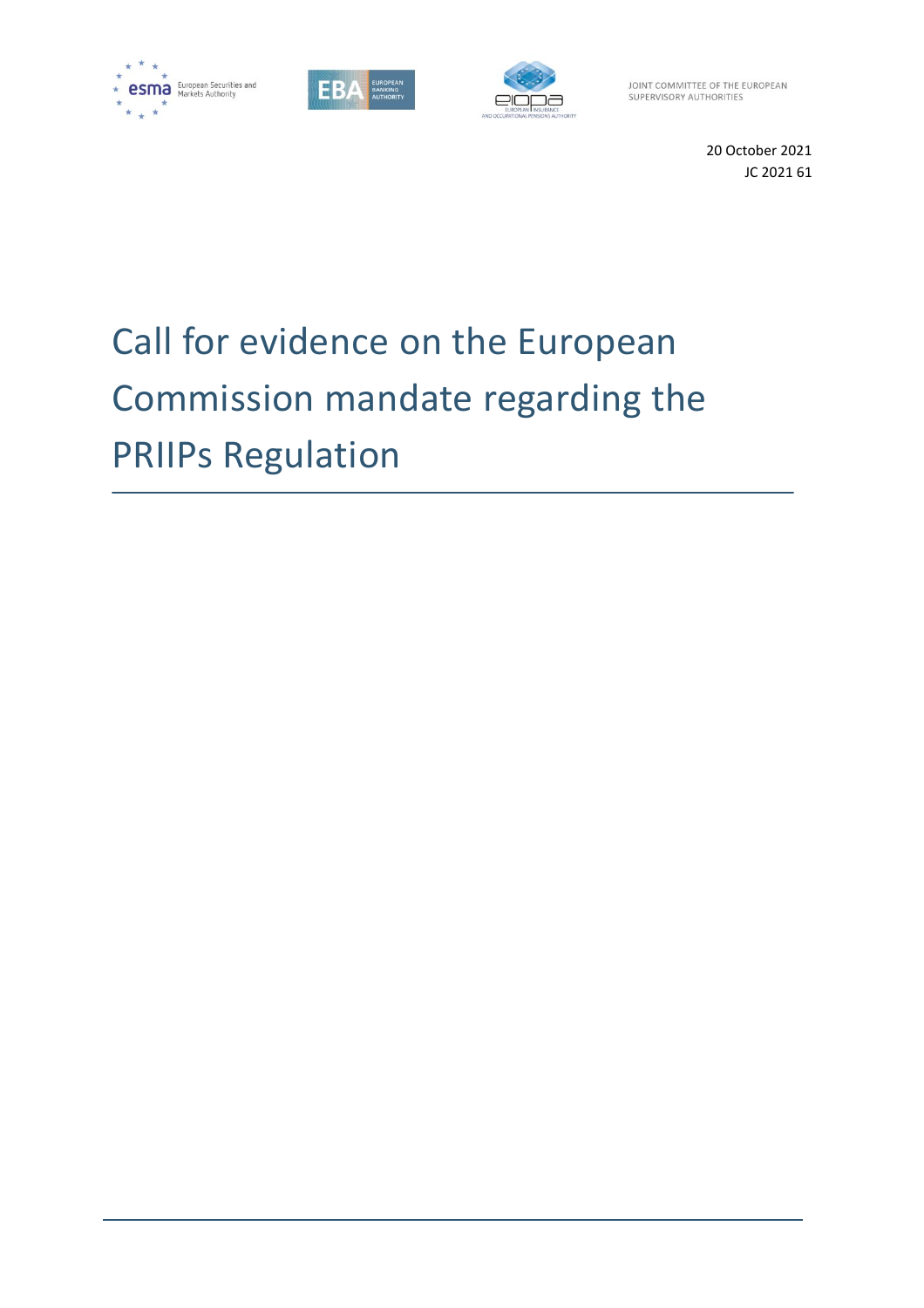





JOINT COMMITTEE OF THE EUROPEAN SUPERVISORY AUTHORITIES

> 20 October 2021 JC 2021 61

# Call for evidence on the European Commission mandate regarding the PRIIPs Regulation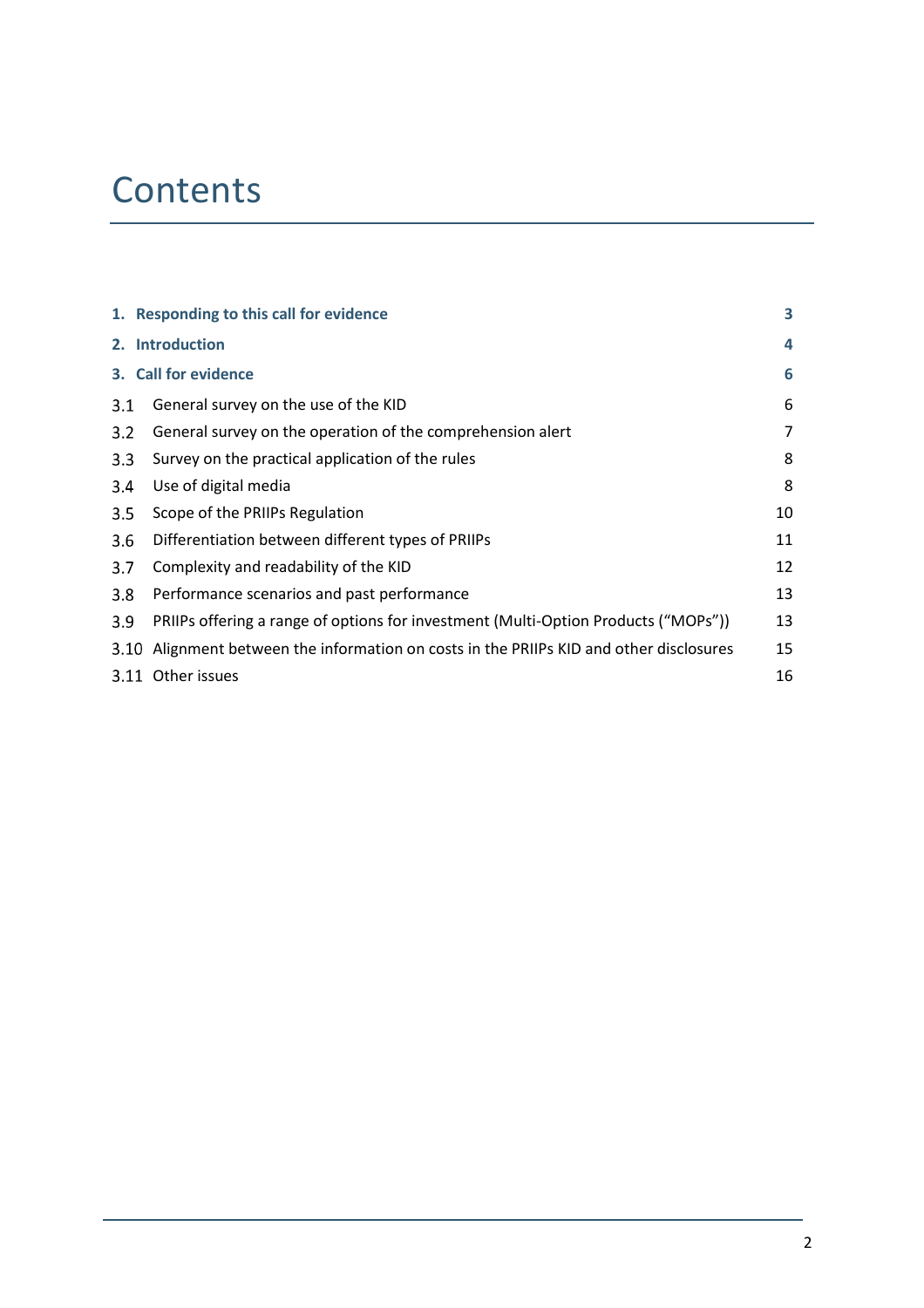## **Contents**

|     | 1. Responding to this call for evidence                                                 | 3  |
|-----|-----------------------------------------------------------------------------------------|----|
|     | 2. Introduction                                                                         | 4  |
|     | 3. Call for evidence                                                                    | 6  |
| 3.1 | General survey on the use of the KID                                                    | 6  |
| 3.2 | General survey on the operation of the comprehension alert                              | 7  |
| 3.3 | Survey on the practical application of the rules                                        | 8  |
| 3.4 | Use of digital media                                                                    | 8  |
| 3.5 | Scope of the PRIIPs Regulation                                                          | 10 |
| 3.6 | Differentiation between different types of PRIIPs                                       | 11 |
| 3.7 | Complexity and readability of the KID                                                   | 12 |
| 3.8 | Performance scenarios and past performance                                              | 13 |
| 3.9 | PRIIPs offering a range of options for investment (Multi-Option Products ("MOPs"))      | 13 |
|     | 3.10 Alignment between the information on costs in the PRIIPs KID and other disclosures | 15 |
|     | 3.11 Other issues                                                                       | 16 |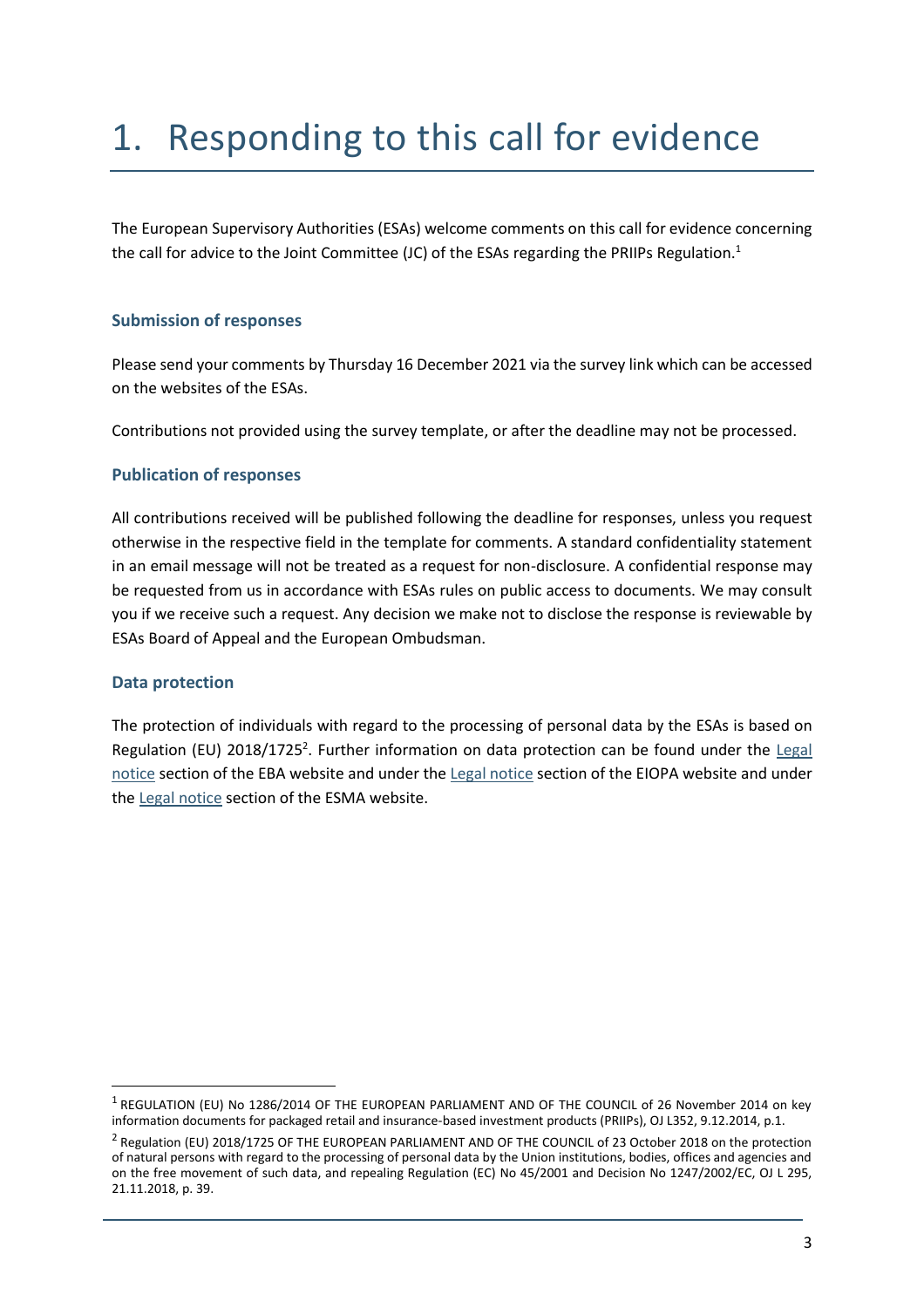# 1. Responding to this call for evidence

The European Supervisory Authorities (ESAs) welcome comments on this call for evidence concerning the call for advice to the Joint Committee (JC) of the ESAs regarding the PRIIPs Regulation. $^{\text{1}}$ 

### **Submission of responses**

Please send your comments by Thursday 16 December 2021 via the survey link which can be accessed on the websites of the ESAs.

Contributions not provided using the survey template, or after the deadline may not be processed.

### **Publication of responses**

All contributions received will be published following the deadline for responses, unless you request otherwise in the respective field in the template for comments. A standard confidentiality statement in an email message will not be treated as a request for non-disclosure. A confidential response may be requested from us in accordance with ESAs rules on public access to documents. We may consult you if we receive such a request. Any decision we make not to disclose the response is reviewable by ESAs Board of Appeal and the European Ombudsman.

### **Data protection**

1

The protection of individuals with regard to the processing of personal data by the ESAs is based on Regulation (EU) 2018/1725<sup>2</sup>. Further information on data protection can be found under the Legal [notice](http://www.eba.europa.eu/legal-notice) section of the EBA website and under the [Legal notice](https://eiopa.europa.eu/Pages/Links/Legal-notice.aspx) section of the EIOPA website and under th[e Legal notice](https://www.esma.europa.eu/legal-notice) section of the ESMA website.

 $^{\rm 1}$  REGULATION (EU) No 1286/2014 OF THE EUROPEAN PARLIAMENT AND OF THE COUNCIL of 26 November 2014 on key information documents for packaged retail and insurance-based investment products (PRIIPs), OJ L352, 9.12.2014, p.1.

<sup>&</sup>lt;sup>2</sup> Regulation (EU) 2018/1725 OF THE EUROPEAN PARLIAMENT AND OF THE COUNCIL of 23 October 2018 on the protection of natural persons with regard to the processing of personal data by the Union institutions, bodies, offices and agencies and on the free movement of such data, and repealing Regulation (EC) No 45/2001 and Decision No 1247/2002/EC, OJ L 295, 21.11.2018, p. 39.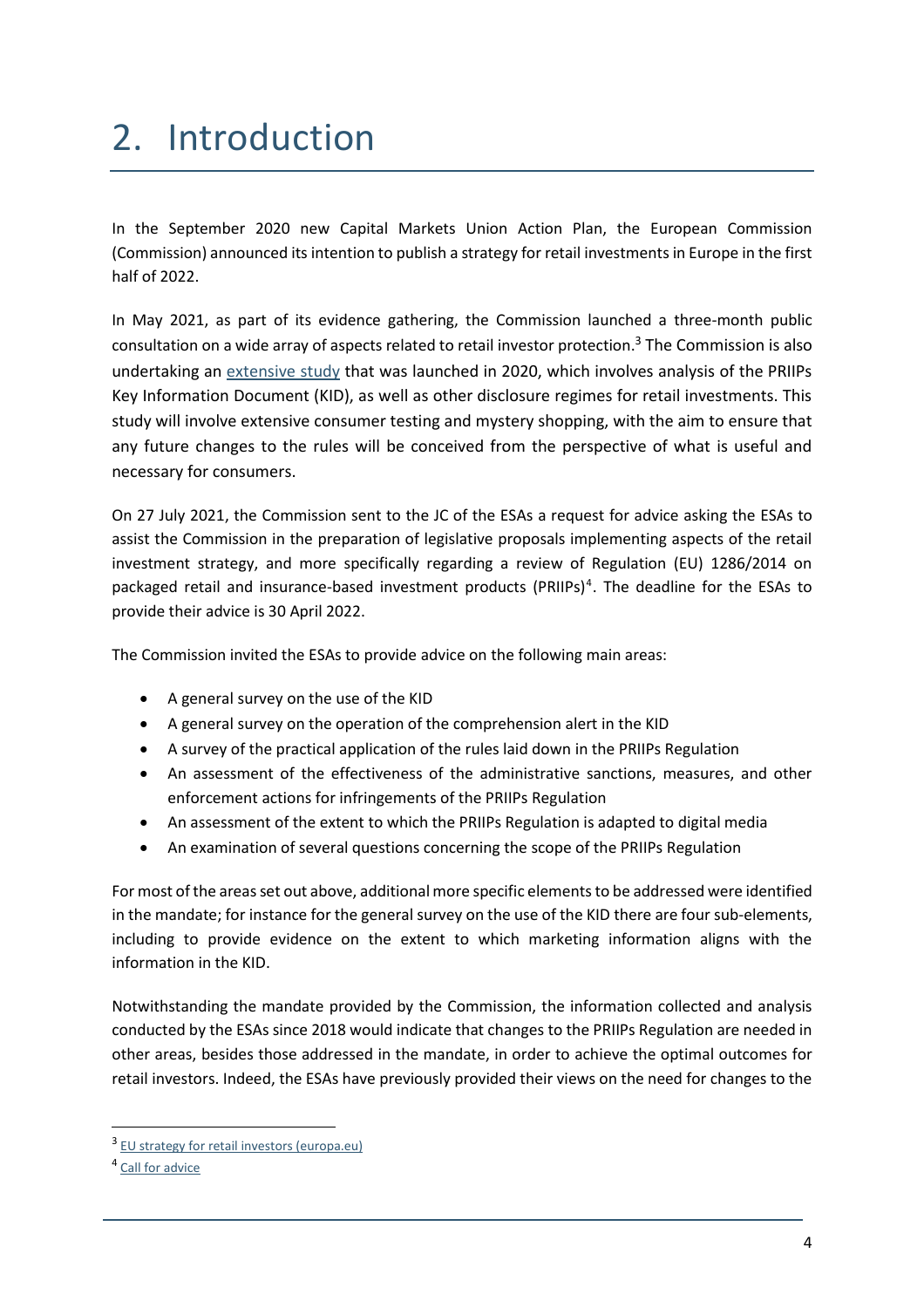# 2. Introduction

In the September 2020 new Capital Markets Union Action Plan, the European Commission (Commission) announced its intention to publish a strategy for retail investments in Europe in the first half of 2022.

In May 2021, as part of its evidence gathering, the Commission launched a three-month public consultation on a wide array of aspects related to retail investor protection. <sup>3</sup> The Commission is also undertaking an [extensive study](https://etendering.ted.europa.eu/cft/cft-display.html?cftId=5959) that was launched in 2020, which involves analysis of the PRIIPs Key Information Document (KID), as well as other disclosure regimes for retail investments. This study will involve extensive consumer testing and mystery shopping, with the aim to ensure that any future changes to the rules will be conceived from the perspective of what is useful and necessary for consumers.

On 27 July 2021, the Commission sent to the JC of the ESAs a request for advice asking the ESAs to assist the Commission in the preparation of legislative proposals implementing aspects of the retail investment strategy, and more specifically regarding a review of Regulation (EU) 1286/2014 on packaged retail and insurance-based investment products (PRIIPs)<sup>4</sup>. The deadline for the ESAs to provide their advice is 30 April 2022.

The Commission invited the ESAs to provide advice on the following main areas:

- A general survey on the use of the KID
- A general survey on the operation of the comprehension alert in the KID
- A survey of the practical application of the rules laid down in the PRIIPs Regulation
- An assessment of the effectiveness of the administrative sanctions, measures, and other enforcement actions for infringements of the PRIIPs Regulation
- An assessment of the extent to which the PRIIPs Regulation is adapted to digital media
- An examination of several questions concerning the scope of the PRIIPs Regulation

For most of the areas set out above, additional more specific elements to be addressed were identified in the mandate; for instance for the general survey on the use of the KID there are four sub-elements, including to provide evidence on the extent to which marketing information aligns with the information in the KID.

Notwithstanding the mandate provided by the Commission, the information collected and analysis conducted by the ESAs since 2018 would indicate that changes to the PRIIPs Regulation are needed in other areas, besides those addressed in the mandate, in order to achieve the optimal outcomes for retail investors. Indeed, the ESAs have previously provided their views on the need for changes to the

<sup>&</sup>lt;sup>3</sup> [EU strategy for retail investors \(europa.eu\)](https://ec.europa.eu/info/law/better-regulation/have-your-say/initiatives/12755-Retail-Investment-Strategy/public-consultation_en)

<sup>&</sup>lt;sup>4</sup> [Call for advice](https://www.eiopa.europa.eu/sites/default/files/publications/letters/20210726-call-for-advice-on-priips-cfa.pdf)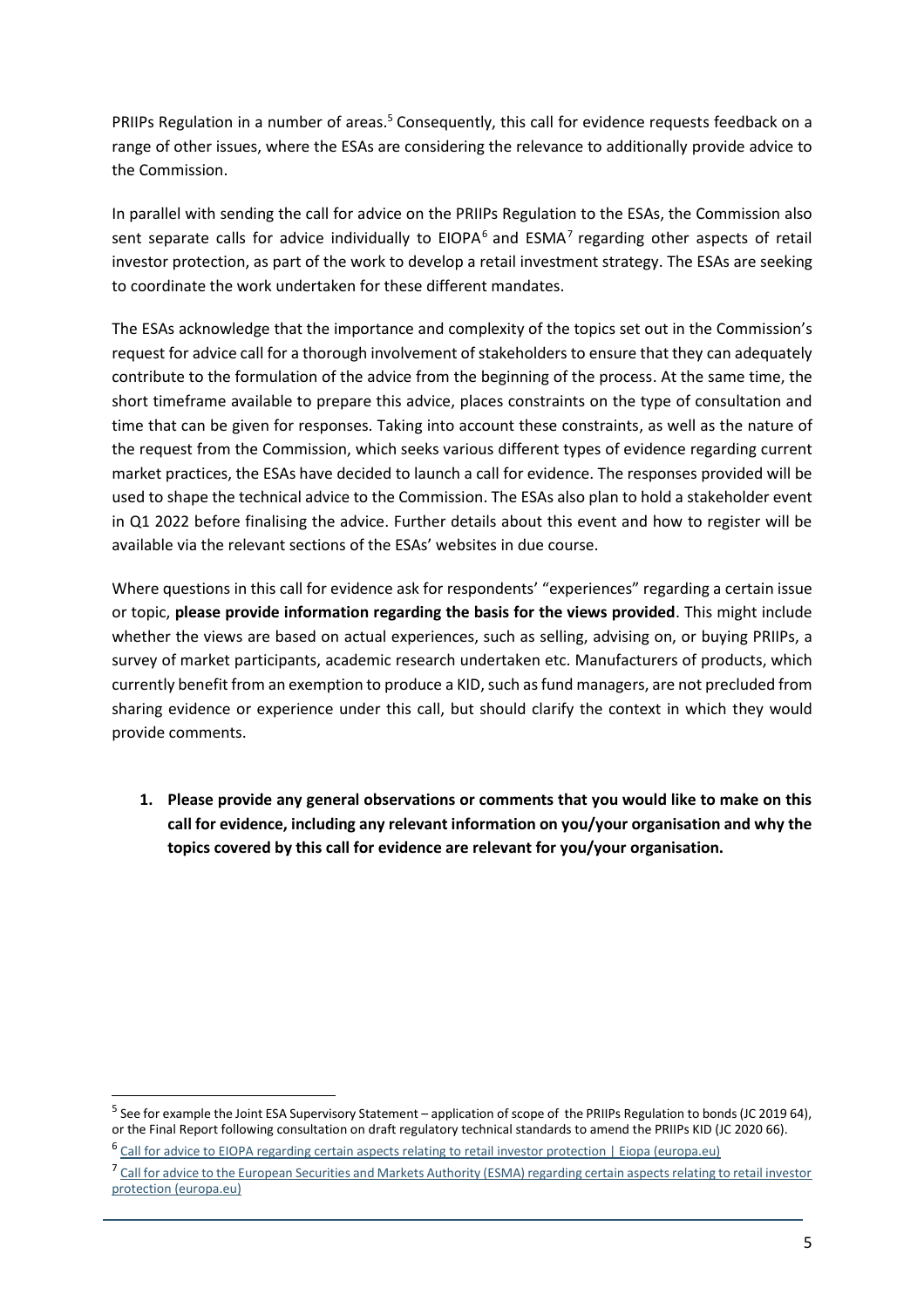PRIIPs Regulation in a number of areas.<sup>5</sup> Consequently, this call for evidence requests feedback on a range of other issues, where the ESAs are considering the relevance to additionally provide advice to the Commission.

In parallel with sending the call for advice on the PRIIPs Regulation to the ESAs, the Commission also sent separate calls for advice individually to EIOPA<sup>6</sup> and ESMA<sup>7</sup> regarding other aspects of retail investor protection, as part of the work to develop a retail investment strategy. The ESAs are seeking to coordinate the work undertaken for these different mandates.

The ESAs acknowledge that the importance and complexity of the topics set out in the Commission's request for advice call for a thorough involvement of stakeholders to ensure that they can adequately contribute to the formulation of the advice from the beginning of the process. At the same time, the short timeframe available to prepare this advice, places constraints on the type of consultation and time that can be given for responses. Taking into account these constraints, as well as the nature of the request from the Commission, which seeks various different types of evidence regarding current market practices, the ESAs have decided to launch a call for evidence. The responses provided will be used to shape the technical advice to the Commission. The ESAs also plan to hold a stakeholder event in Q1 2022 before finalising the advice. Further details about this event and how to register will be available via the relevant sections of the ESAs' websites in due course.

Where questions in this call for evidence ask for respondents' "experiences" regarding a certain issue or topic, **please provide information regarding the basis for the views provided**. This might include whether the views are based on actual experiences, such as selling, advising on, or buying PRIIPs, a survey of market participants, academic research undertaken etc. Manufacturers of products, which currently benefit from an exemption to produce a KID, such as fund managers, are not precluded from sharing evidence or experience under this call, but should clarify the context in which they would provide comments.

**1. Please provide any general observations or comments that you would like to make on this call for evidence, including any relevant information on you/your organisation and why the topics covered by this call for evidence are relevant for you/your organisation.**

<sup>&</sup>lt;sup>5</sup> See for example the Joint ESA Supervisory Statement – application of scope of the PRIIPs Regulation to bonds (JC 2019 64), or the Final Report following consultation on draft regulatory technical standards to amend the PRIIPs KID (JC 2020 66).

<sup>&</sup>lt;sup>6</sup> [Call for advice to EIOPA regarding certain aspects relating to retail investor protection | Eiopa \(europa.eu\)](https://www.eiopa.europa.eu/document-library/call-advice/call-advice-eiopa-regarding-certain-aspects-relating-retail-investor)

<sup>&</sup>lt;sup>7</sup> [Call for advice to the European Securities and Markets Authority \(ESMA\) regarding certain aspects relating to retail investor](https://www.esma.europa.eu/document/call-advice-european-securities-and-markets-authority-esma-regarding-certain-aspects) [protection \(europa.eu\)](https://www.esma.europa.eu/document/call-advice-european-securities-and-markets-authority-esma-regarding-certain-aspects)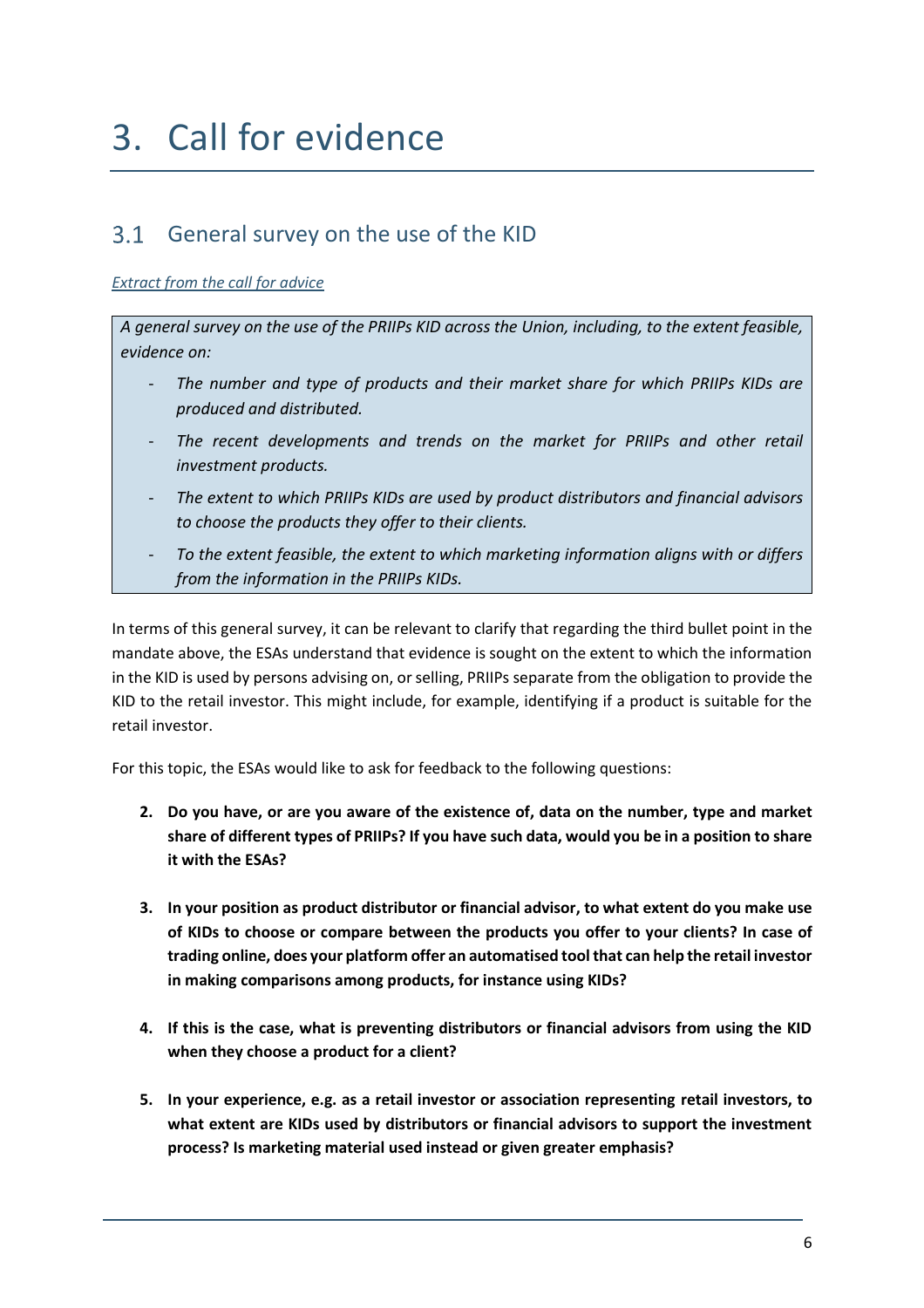## 3. Call for evidence

## General survey on the use of the KID

### *Extract from the call for advice*

*A general survey on the use of the PRIIPs KID across the Union, including, to the extent feasible, evidence on:* 

- The number and type of products and their market share for which PRIIPs KIDs are *produced and distributed.*
- The recent developments and trends on the market for PRIIPs and other retail *investment products.*
- *The extent to which PRIIPs KIDs are used by product distributors and financial advisors to choose the products they offer to their clients.*
- *To the extent feasible, the extent to which marketing information aligns with or differs from the information in the PRIIPs KIDs.*

In terms of this general survey, it can be relevant to clarify that regarding the third bullet point in the mandate above, the ESAs understand that evidence is sought on the extent to which the information in the KID is used by persons advising on, or selling, PRIIPs separate from the obligation to provide the KID to the retail investor. This might include, for example, identifying if a product is suitable for the retail investor.

For this topic, the ESAs would like to ask for feedback to the following questions:

- **2. Do you have, or are you aware of the existence of, data on the number, type and market share of different types of PRIIPs? If you have such data, would you be in a position to share it with the ESAs?**
- **3. In your position as product distributor or financial advisor, to what extent do you make use of KIDs to choose or compare between the products you offer to your clients? In case of trading online, does your platform offer an automatised tool that can help the retail investor in making comparisons among products, for instance using KIDs?**
- **4. If this is the case, what is preventing distributors or financial advisors from using the KID when they choose a product for a client?**
- **5. In your experience, e.g. as a retail investor or association representing retail investors, to what extent are KIDs used by distributors or financial advisors to support the investment process? Is marketing material used instead or given greater emphasis?**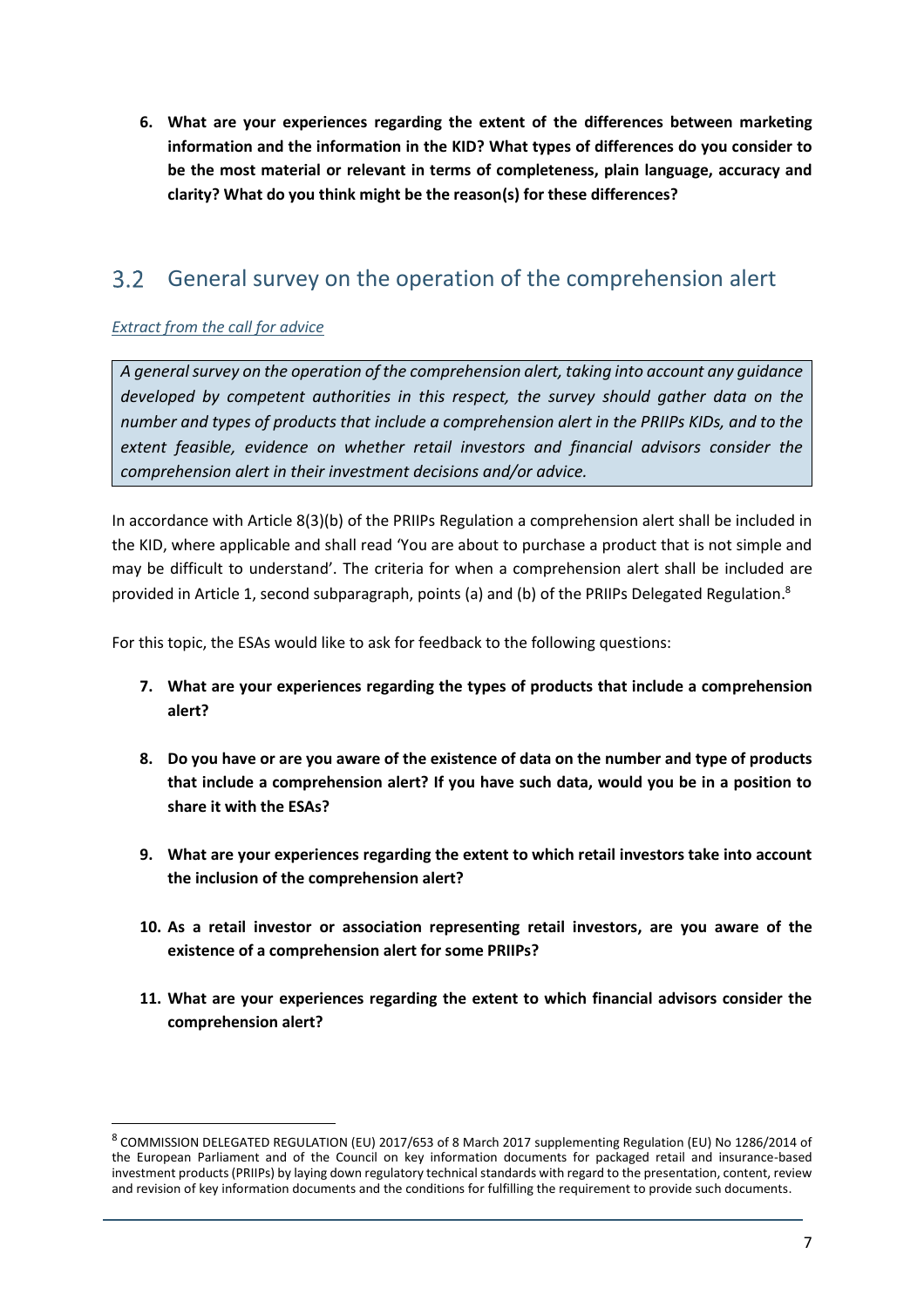**6. What are your experiences regarding the extent of the differences between marketing information and the information in the KID? What types of differences do you consider to be the most material or relevant in terms of completeness, plain language, accuracy and clarity? What do you think might be the reason(s) for these differences?**

#### $3.2$ General survey on the operation of the comprehension alert

## *Extract from the call for advice*

1

*A general survey on the operation of the comprehension alert, taking into account any guidance developed by competent authorities in this respect, the survey should gather data on the number and types of products that include a comprehension alert in the PRIIPs KIDs, and to the extent feasible, evidence on whether retail investors and financial advisors consider the comprehension alert in their investment decisions and/or advice.*

In accordance with Article 8(3)(b) of the PRIIPs Regulation a comprehension alert shall be included in the KID, where applicable and shall read 'You are about to purchase a product that is not simple and may be difficult to understand'. The criteria for when a comprehension alert shall be included are provided in Article 1, second subparagraph, points (a) and (b) of the PRIIPs Delegated Regulation.<sup>8</sup>

For this topic, the ESAs would like to ask for feedback to the following questions:

- **7. What are your experiences regarding the types of products that include a comprehension alert?**
- **8. Do you have or are you aware of the existence of data on the number and type of products that include a comprehension alert? If you have such data, would you be in a position to share it with the ESAs?**
- **9. What are your experiences regarding the extent to which retail investors take into account the inclusion of the comprehension alert?**
- **10. As a retail investor or association representing retail investors, are you aware of the existence of a comprehension alert for some PRIIPs?**
- **11. What are your experiences regarding the extent to which financial advisors consider the comprehension alert?**

<sup>8</sup> COMMISSION DELEGATED REGULATION (EU) 2017/653 of 8 March 2017 supplementing Regulation (EU) No 1286/2014 of the European Parliament and of the Council on key information documents for packaged retail and insurance-based investment products (PRIIPs) by laying down regulatory technical standards with regard to the presentation, content, review and revision of key information documents and the conditions for fulfilling the requirement to provide such documents.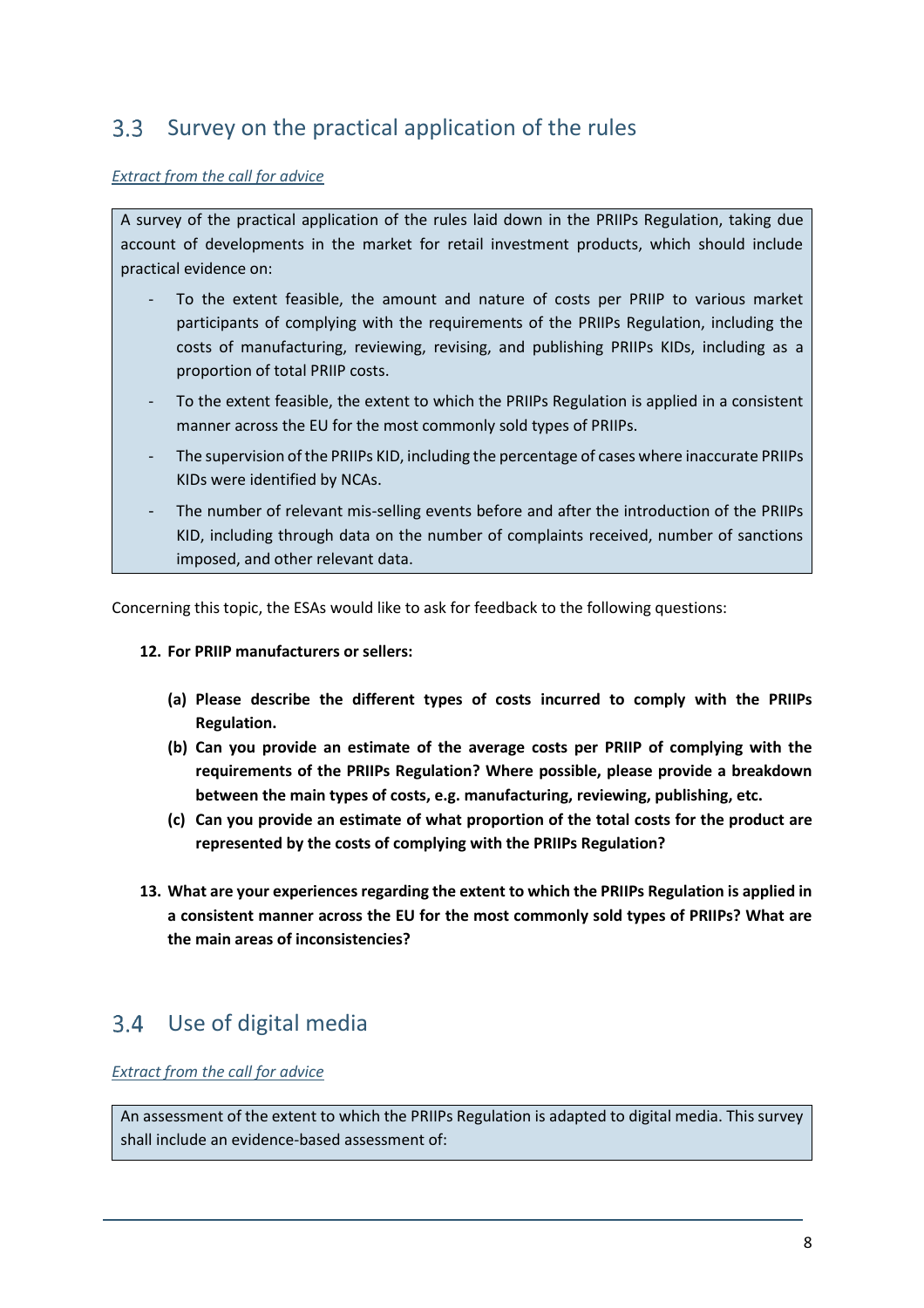#### $3.3$ Survey on the practical application of the rules

#### *Extract from the call for advice*

A survey of the practical application of the rules laid down in the PRIIPs Regulation, taking due account of developments in the market for retail investment products, which should include practical evidence on:

- To the extent feasible, the amount and nature of costs per PRIIP to various market participants of complying with the requirements of the PRIIPs Regulation, including the costs of manufacturing, reviewing, revising, and publishing PRIIPs KIDs, including as a proportion of total PRIIP costs.
- To the extent feasible, the extent to which the PRIIPs Regulation is applied in a consistent manner across the EU for the most commonly sold types of PRIIPs.
- The supervision of the PRIIPs KID, including the percentage of cases where inaccurate PRIIPs KIDs were identified by NCAs.
- The number of relevant mis-selling events before and after the introduction of the PRIIPs KID, including through data on the number of complaints received, number of sanctions imposed, and other relevant data.

Concerning this topic, the ESAs would like to ask for feedback to the following questions:

#### **12. For PRIIP manufacturers or sellers:**

- **(a) Please describe the different types of costs incurred to comply with the PRIIPs Regulation.**
- **(b) Can you provide an estimate of the average costs per PRIIP of complying with the requirements of the PRIIPs Regulation? Where possible, please provide a breakdown between the main types of costs, e.g. manufacturing, reviewing, publishing, etc.**
- **(c) Can you provide an estimate of what proportion of the total costs for the product are represented by the costs of complying with the PRIIPs Regulation?**
- **13. What are your experiences regarding the extent to which the PRIIPs Regulation is applied in a consistent manner across the EU for the most commonly sold types of PRIIPs? What are the main areas of inconsistencies?**

#### Use of digital media  $3.4^{\circ}$

### *Extract from the call for advice*

An assessment of the extent to which the PRIIPs Regulation is adapted to digital media. This survey shall include an evidence-based assessment of: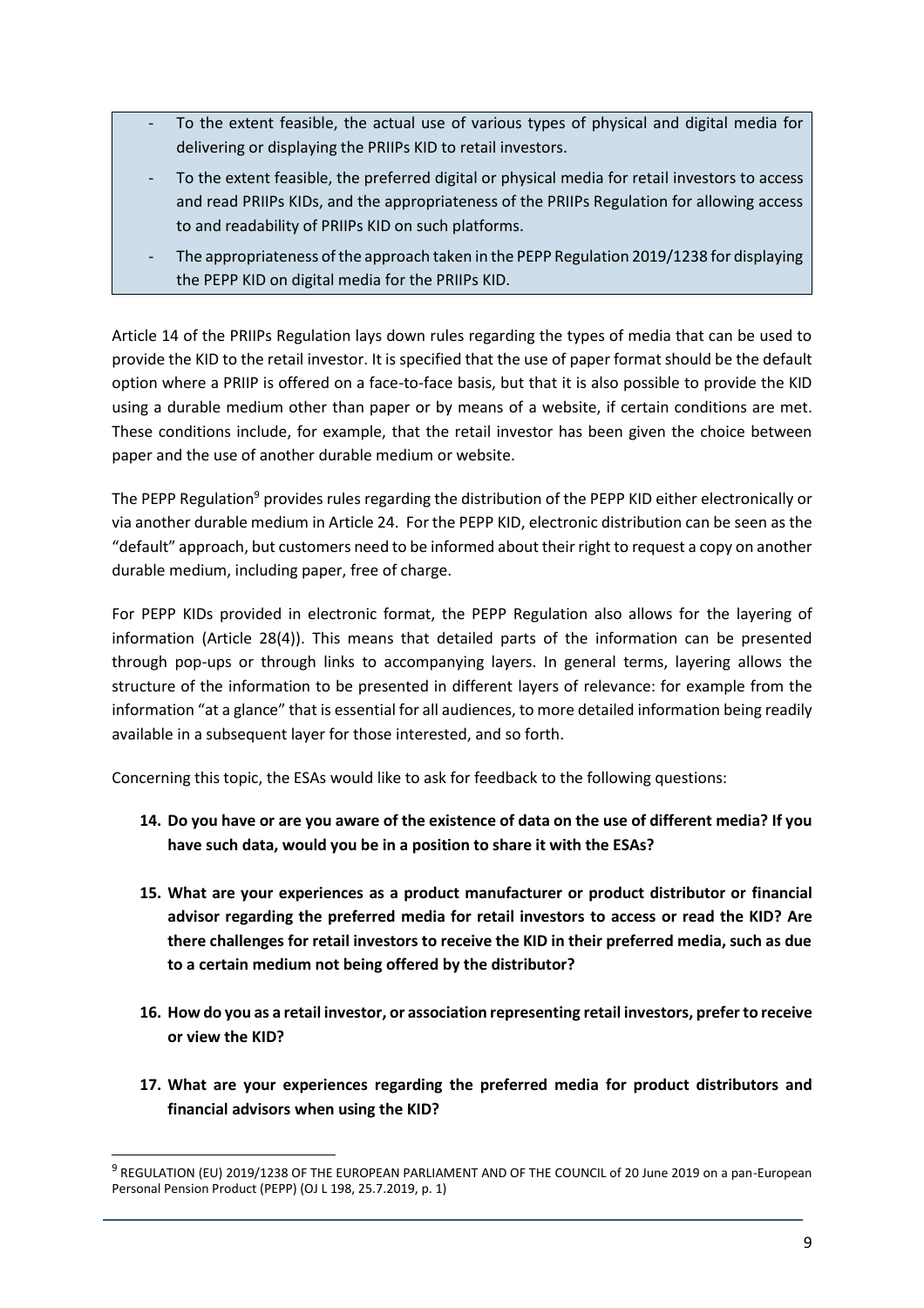- To the extent feasible, the actual use of various types of physical and digital media for delivering or displaying the PRIIPs KID to retail investors.
- To the extent feasible, the preferred digital or physical media for retail investors to access and read PRIIPs KIDs, and the appropriateness of the PRIIPs Regulation for allowing access to and readability of PRIIPs KID on such platforms.
- The appropriateness of the approach taken in the PEPP Regulation 2019/1238 for displaying the PEPP KID on digital media for the PRIIPs KID.

Article 14 of the PRIIPs Regulation lays down rules regarding the types of media that can be used to provide the KID to the retail investor. It is specified that the use of paper format should be the default option where a PRIIP is offered on a face-to-face basis, but that it is also possible to provide the KID using a durable medium other than paper or by means of a website, if certain conditions are met. These conditions include, for example, that the retail investor has been given the choice between paper and the use of another durable medium or website.

The PEPP Regulation<sup>9</sup> provides rules regarding the distribution of the PEPP KID either electronically or via another durable medium in Article 24. For the PEPP KID, electronic distribution can be seen as the "default" approach, but customers need to be informed about their right to request a copy on another durable medium, including paper, free of charge.

For PEPP KIDs provided in electronic format, the PEPP Regulation also allows for the layering of information (Article 28(4)). This means that detailed parts of the information can be presented through pop-ups or through links to accompanying layers. In general terms, layering allows the structure of the information to be presented in different layers of relevance: for example from the information "at a glance" that is essential for all audiences, to more detailed information being readily available in a subsequent layer for those interested, and so forth.

Concerning this topic, the ESAs would like to ask for feedback to the following questions:

- **14. Do you have or are you aware of the existence of data on the use of different media? If you have such data, would you be in a position to share it with the ESAs?**
- **15. What are your experiences as a product manufacturer or product distributor or financial advisor regarding the preferred media for retail investors to access or read the KID? Are there challenges for retail investors to receive the KID in their preferred media, such as due to a certain medium not being offered by the distributor?**
- **16. How do you as a retail investor, or association representing retail investors, prefer to receive or view the KID?**
- **17. What are your experiences regarding the preferred media for product distributors and financial advisors when using the KID?**

<sup>&</sup>lt;sup>9</sup> REGULATION (EU) 2019/1238 OF THE EUROPEAN PARLIAMENT AND OF THE COUNCIL of 20 June 2019 on a pan-European Personal Pension Product (PEPP) (OJ L 198, 25.7.2019, p. 1)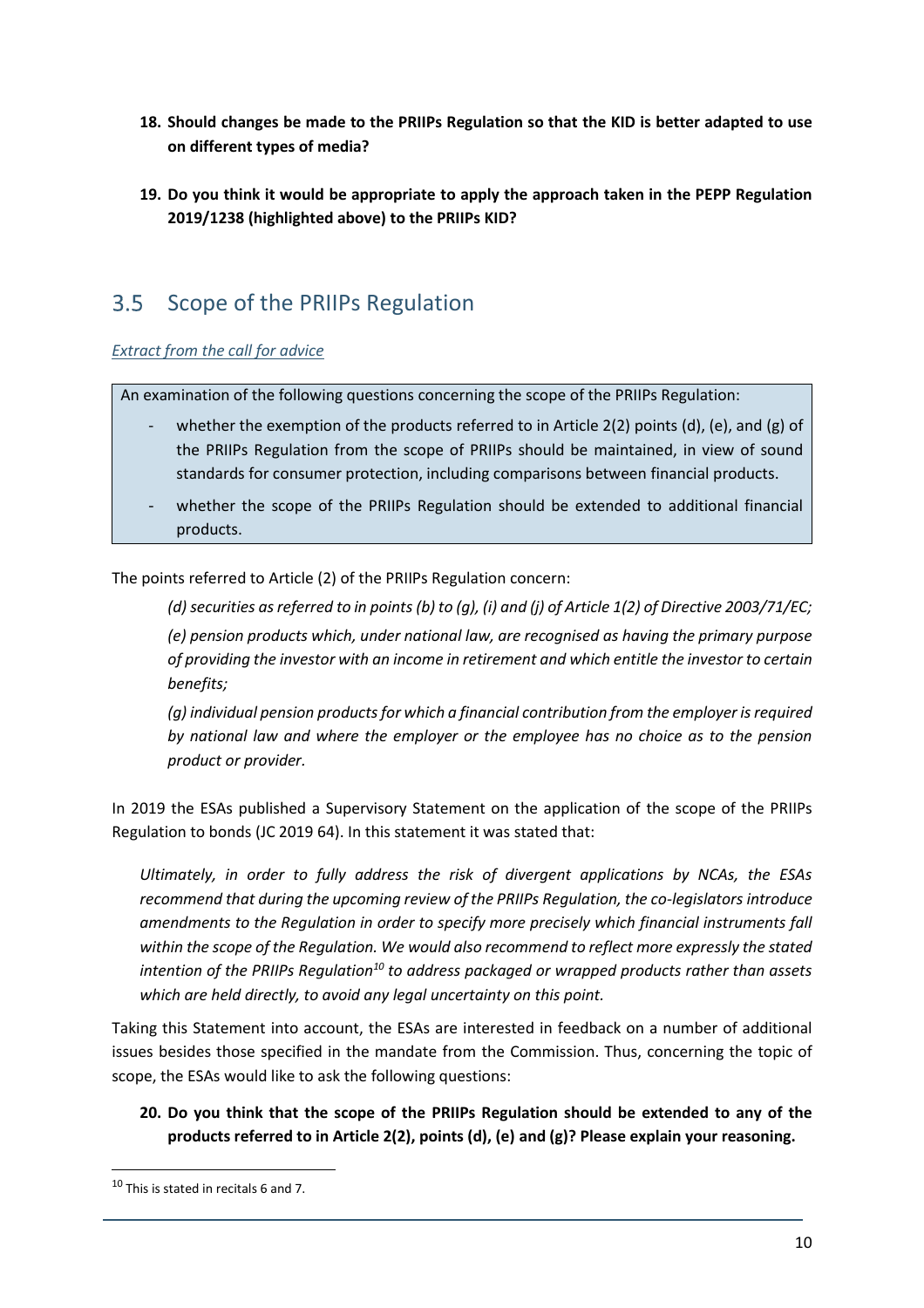- **18. Should changes be made to the PRIIPs Regulation so that the KID is better adapted to use on different types of media?**
- **19. Do you think it would be appropriate to apply the approach taken in the PEPP Regulation 2019/1238 (highlighted above) to the PRIIPs KID?**

#### $3.5$ Scope of the PRIIPs Regulation

## *Extract from the call for advice*

An examination of the following questions concerning the scope of the PRIIPs Regulation:

- whether the exemption of the products referred to in Article 2(2) points (d), (e), and (g) of the PRIIPs Regulation from the scope of PRIIPs should be maintained, in view of sound standards for consumer protection, including comparisons between financial products.
- whether the scope of the PRIIPs Regulation should be extended to additional financial products.

The points referred to Article (2) of the PRIIPs Regulation concern:

*(d) securities as referred to in points (b) to (g), (i) and (j) of Article 1(2) of Directive 2003/71/EC; (e) pension products which, under national law, are recognised as having the primary purpose of providing the investor with an income in retirement and which entitle the investor to certain benefits;* 

*(g) individual pension products for which a financial contribution from the employer is required by national law and where the employer or the employee has no choice as to the pension product or provider.*

In 2019 the ESAs published a Supervisory Statement on the application of the scope of the PRIIPs Regulation to bonds (JC 2019 64). In this statement it was stated that:

*Ultimately, in order to fully address the risk of divergent applications by NCAs, the ESAs recommend that during the upcoming review of the PRIIPs Regulation, the co-legislators introduce amendments to the Regulation in order to specify more precisely which financial instruments fall within the scope of the Regulation. We would also recommend to reflect more expressly the stated intention of the PRIIPs Regulation<sup>10</sup> to address packaged or wrapped products rather than assets which are held directly, to avoid any legal uncertainty on this point.* 

Taking this Statement into account, the ESAs are interested in feedback on a number of additional issues besides those specified in the mandate from the Commission. Thus, concerning the topic of scope, the ESAs would like to ask the following questions:

**20. Do you think that the scope of the PRIIPs Regulation should be extended to any of the products referred to in Article 2(2), points (d), (e) and (g)? Please explain your reasoning.**

<sup>10</sup> This is stated in recitals 6 and 7.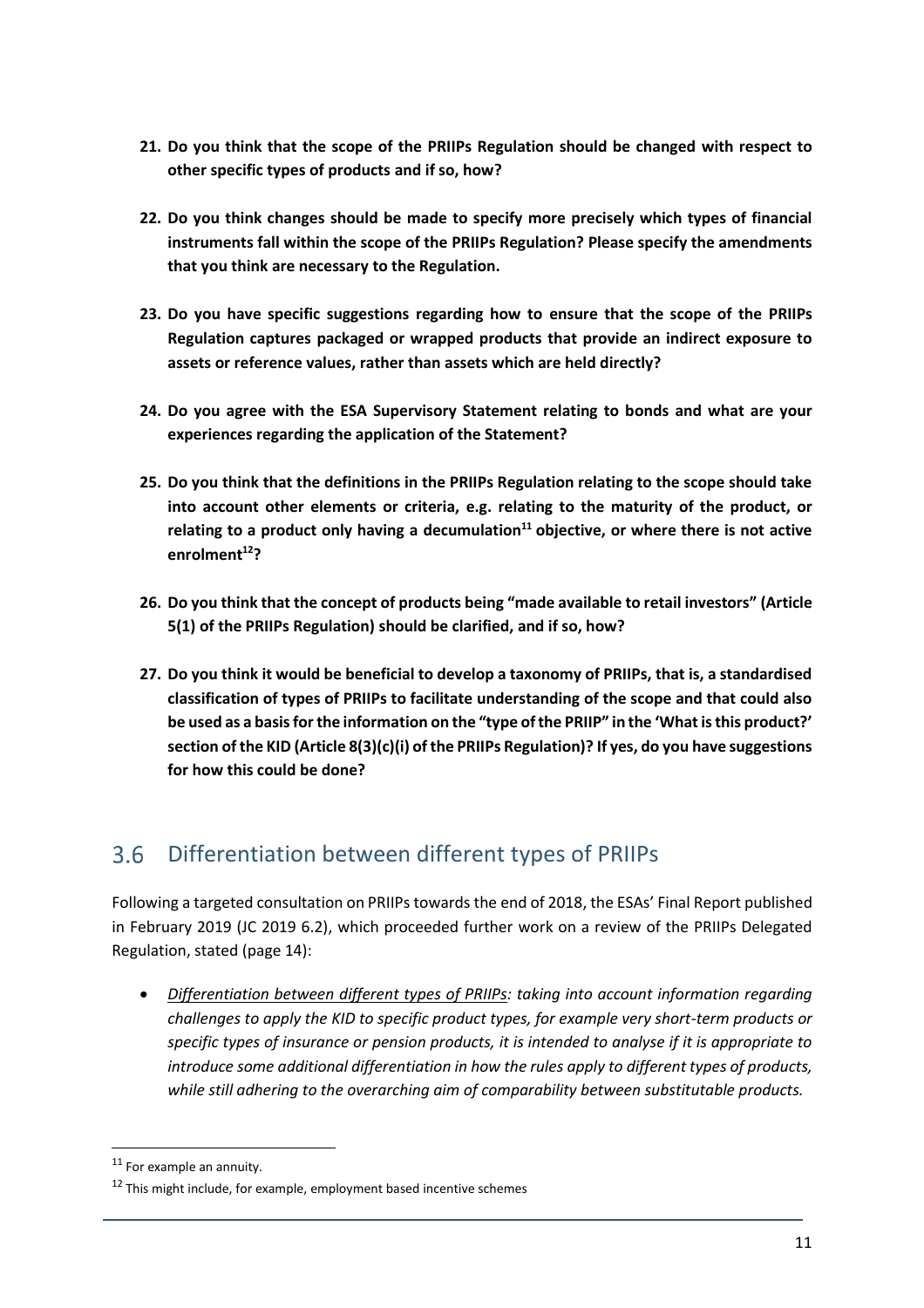- **21. Do you think that the scope of the PRIIPs Regulation should be changed with respect to other specific types of products and if so, how?**
- **22. Do you think changes should be made to specify more precisely which types of financial instruments fall within the scope of the PRIIPs Regulation? Please specify the amendments that you think are necessary to the Regulation.**
- **23. Do you have specific suggestions regarding how to ensure that the scope of the PRIIPs Regulation captures packaged or wrapped products that provide an indirect exposure to assets or reference values, rather than assets which are held directly?**
- **24. Do you agree with the ESA Supervisory Statement relating to bonds and what are your experiences regarding the application of the Statement?**
- **25. Do you think that the definitions in the PRIIPs Regulation relating to the scope should take into account other elements or criteria, e.g. relating to the maturity of the product, or relating to a product only having a decumulation<sup>11</sup> objective, or where there is not active enrolment<sup>12</sup>?**
- **26. Do you think that the concept of products being "made available to retail investors" (Article 5(1) of the PRIIPs Regulation) should be clarified, and if so, how?**
- **27. Do you think it would be beneficial to develop a taxonomy of PRIIPs, that is, a standardised classification of types of PRIIPs to facilitate understanding of the scope and that could also be used as a basis for the information on the "type of the PRIIP" in the 'What is this product?' section of the KID (Article 8(3)(c)(i) of the PRIIPs Regulation)? If yes, do you have suggestions for how this could be done?**

#### Differentiation between different types of PRIIPs  $3.6$

Following a targeted consultation on PRIIPs towards the end of 2018, the ESAs' Final Report published in February 2019 (JC 2019 6.2), which proceeded further work on a review of the PRIIPs Delegated Regulation, stated (page 14):

 *Differentiation between different types of PRIIPs: taking into account information regarding challenges to apply the KID to specific product types, for example very short-term products or specific types of insurance or pension products, it is intended to analyse if it is appropriate to introduce some additional differentiation in how the rules apply to different types of products, while still adhering to the overarching aim of comparability between substitutable products.* 

<sup>&</sup>lt;sup>11</sup> For example an annuity.

 $12$  This might include, for example, employment based incentive schemes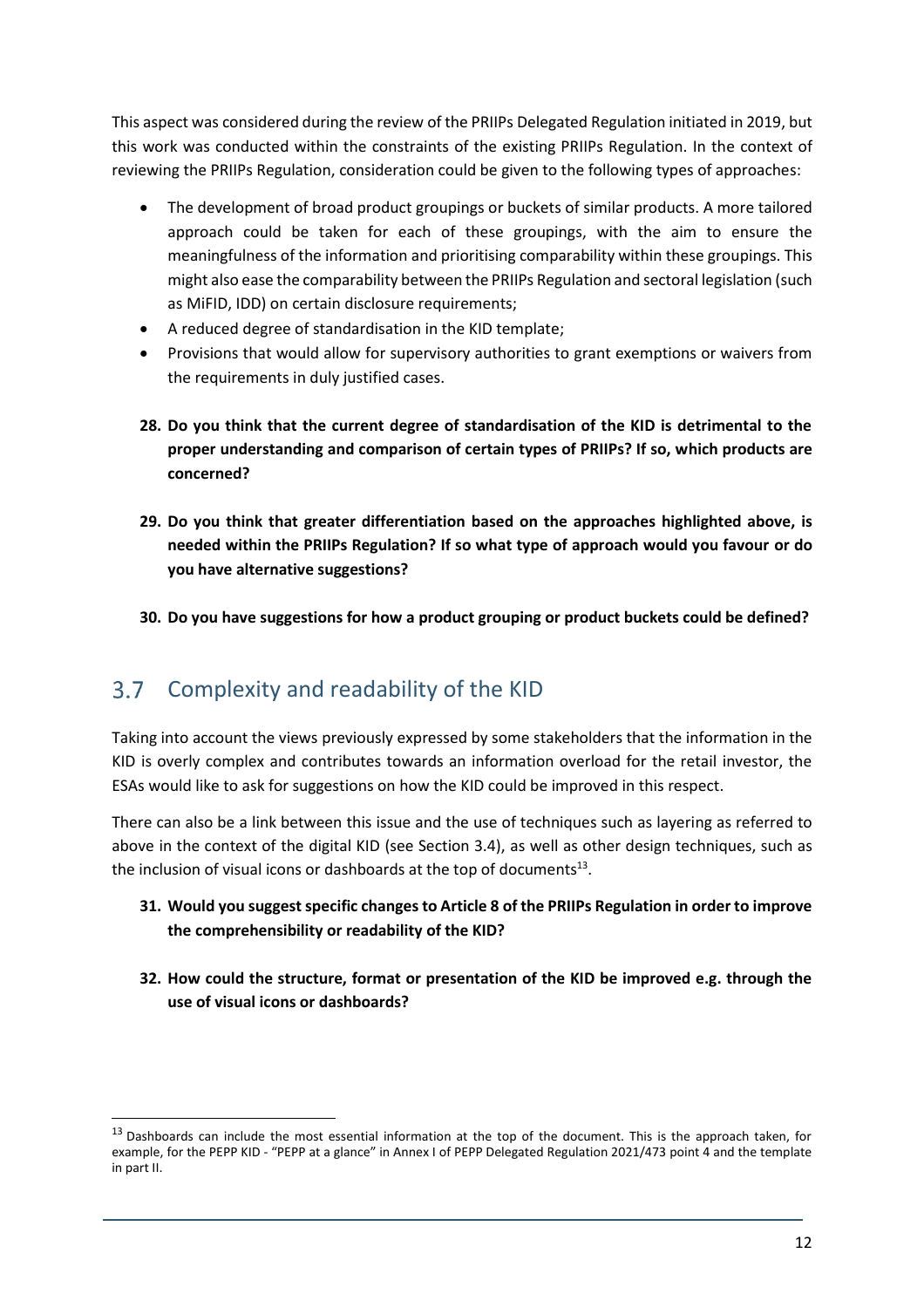This aspect was considered during the review of the PRIIPs Delegated Regulation initiated in 2019, but this work was conducted within the constraints of the existing PRIIPs Regulation. In the context of reviewing the PRIIPs Regulation, consideration could be given to the following types of approaches:

- The development of broad product groupings or buckets of similar products. A more tailored approach could be taken for each of these groupings, with the aim to ensure the meaningfulness of the information and prioritising comparability within these groupings. This might also ease the comparability between the PRIIPs Regulation and sectoral legislation (such as MiFID, IDD) on certain disclosure requirements;
- A reduced degree of standardisation in the KID template;
- Provisions that would allow for supervisory authorities to grant exemptions or waivers from the requirements in duly justified cases.
- **28. Do you think that the current degree of standardisation of the KID is detrimental to the proper understanding and comparison of certain types of PRIIPs? If so, which products are concerned?**
- **29. Do you think that greater differentiation based on the approaches highlighted above, is needed within the PRIIPs Regulation? If so what type of approach would you favour or do you have alternative suggestions?**
- **30. Do you have suggestions for how a product grouping or product buckets could be defined?**

#### $3.7$ Complexity and readability of the KID

1

Taking into account the views previously expressed by some stakeholders that the information in the KID is overly complex and contributes towards an information overload for the retail investor, the ESAs would like to ask for suggestions on how the KID could be improved in this respect.

There can also be a link between this issue and the use of techniques such as layering as referred to above in the context of the digital KID (see Section 3.4), as well as other design techniques, such as the inclusion of visual icons or dashboards at the top of documents $^{13}$ .

- **31. Would you suggest specific changes to Article 8 of the PRIIPs Regulation in order to improve the comprehensibility or readability of the KID?**
- **32. How could the structure, format or presentation of the KID be improved e.g. through the use of visual icons or dashboards?**

<sup>&</sup>lt;sup>13</sup> Dashboards can include the most essential information at the top of the document. This is the approach taken, for example, for the PEPP KID - "PEPP at a glance" in Annex I of PEPP Delegated Regulation 2021/473 point 4 and the template in part II.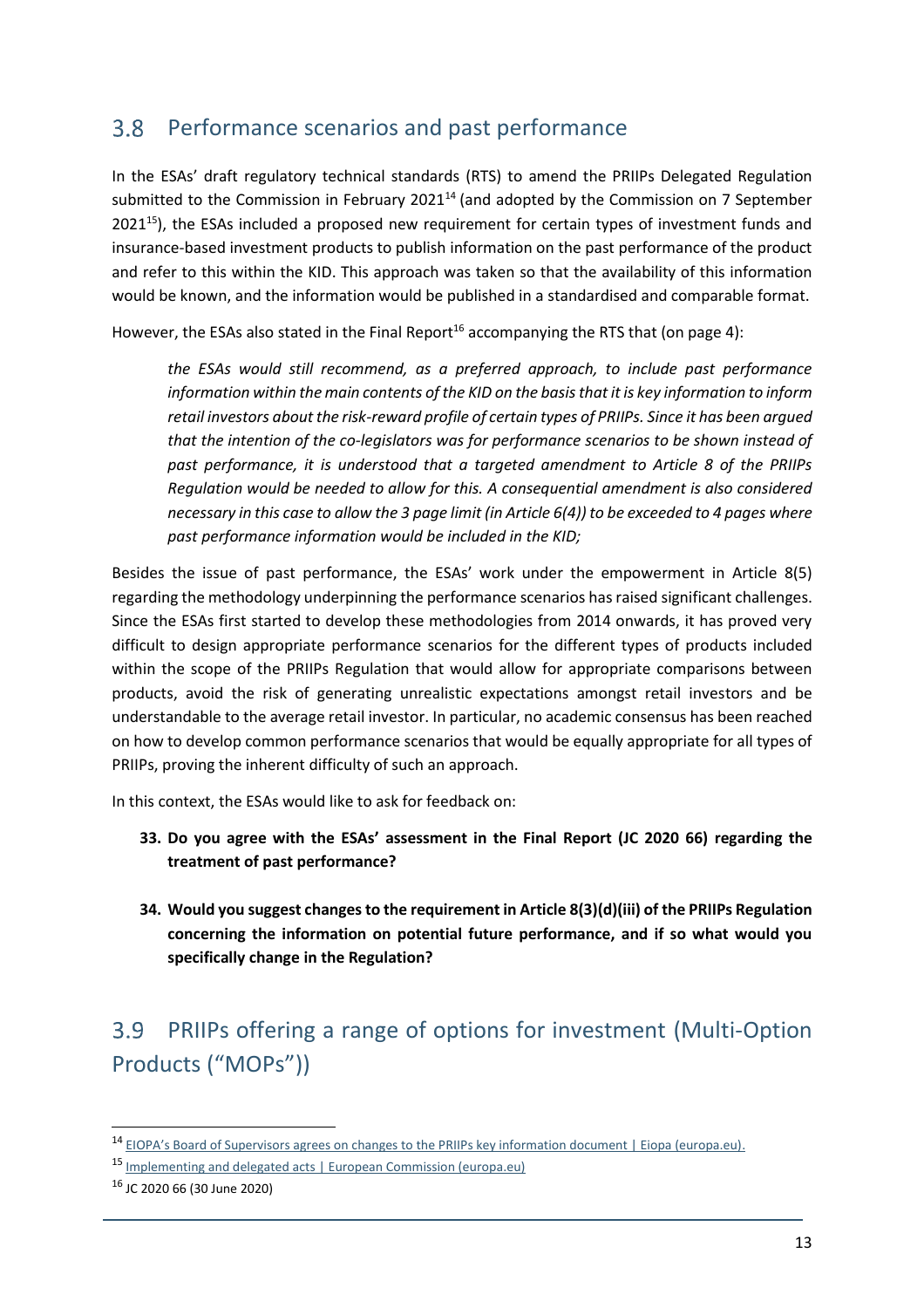#### $3.8$ Performance scenarios and past performance

In the ESAs' draft regulatory technical standards (RTS) to amend the PRIIPs Delegated Regulation submitted to the Commission in February 2021<sup>14</sup> (and adopted by the Commission on 7 September  $2021^{15}$ ), the ESAs included a proposed new requirement for certain types of investment funds and insurance-based investment products to publish information on the past performance of the product and refer to this within the KID. This approach was taken so that the availability of this information would be known, and the information would be published in a standardised and comparable format.

However, the ESAs also stated in the Final Report<sup>16</sup> accompanying the RTS that (on page 4):

*the ESAs would still recommend, as a preferred approach, to include past performance information within the main contents of the KID on the basis that it is key information to inform retail investors about the risk-reward profile of certain types of PRIIPs. Since it has been argued that the intention of the co-legislators was for performance scenarios to be shown instead of past performance, it is understood that a targeted amendment to Article 8 of the PRIIPs Regulation would be needed to allow for this. A consequential amendment is also considered necessary in this case to allow the 3 page limit (in Article 6(4)) to be exceeded to 4 pages where past performance information would be included in the KID;*

Besides the issue of past performance, the ESAs' work under the empowerment in Article 8(5) regarding the methodology underpinning the performance scenarios has raised significant challenges. Since the ESAs first started to develop these methodologies from 2014 onwards, it has proved very difficult to design appropriate performance scenarios for the different types of products included within the scope of the PRIIPs Regulation that would allow for appropriate comparisons between products, avoid the risk of generating unrealistic expectations amongst retail investors and be understandable to the average retail investor. In particular, no academic consensus has been reached on how to develop common performance scenarios that would be equally appropriate for all types of PRIIPs, proving the inherent difficulty of such an approach.

In this context, the ESAs would like to ask for feedback on:

- **33. Do you agree with the ESAs' assessment in the Final Report (JC 2020 66) regarding the treatment of past performance?**
- **34. Would you suggest changes to the requirement in Article 8(3)(d)(iii) of the PRIIPs Regulation concerning the information on potential future performance, and if so what would you specifically change in the Regulation?**

### PRIIPs offering a range of options for investment (Multi-Option  $3.9<sup>°</sup>$ Products ("MOPs"))

<sup>14</sup> [EIOPA's Board of Supervisors agrees on changes to the PRIIPs key information document | Eiopa \(europa.eu\)](https://www.eiopa.europa.eu/content/eiopas-board-of-supervisors-agrees-changes-priips-key-information-document).

<sup>15</sup> [Implementing and delegated acts | European Commission \(europa.eu\)](https://ec.europa.eu/info/law/key-information-documents-packaged-retail-and-insurance-based-investment-products-priips-regulation-eu-no-1286-2014/amending-and-supplementary-acts/implementing-and-delegated-acts_en)

<sup>16</sup> JC 2020 66 (30 June 2020)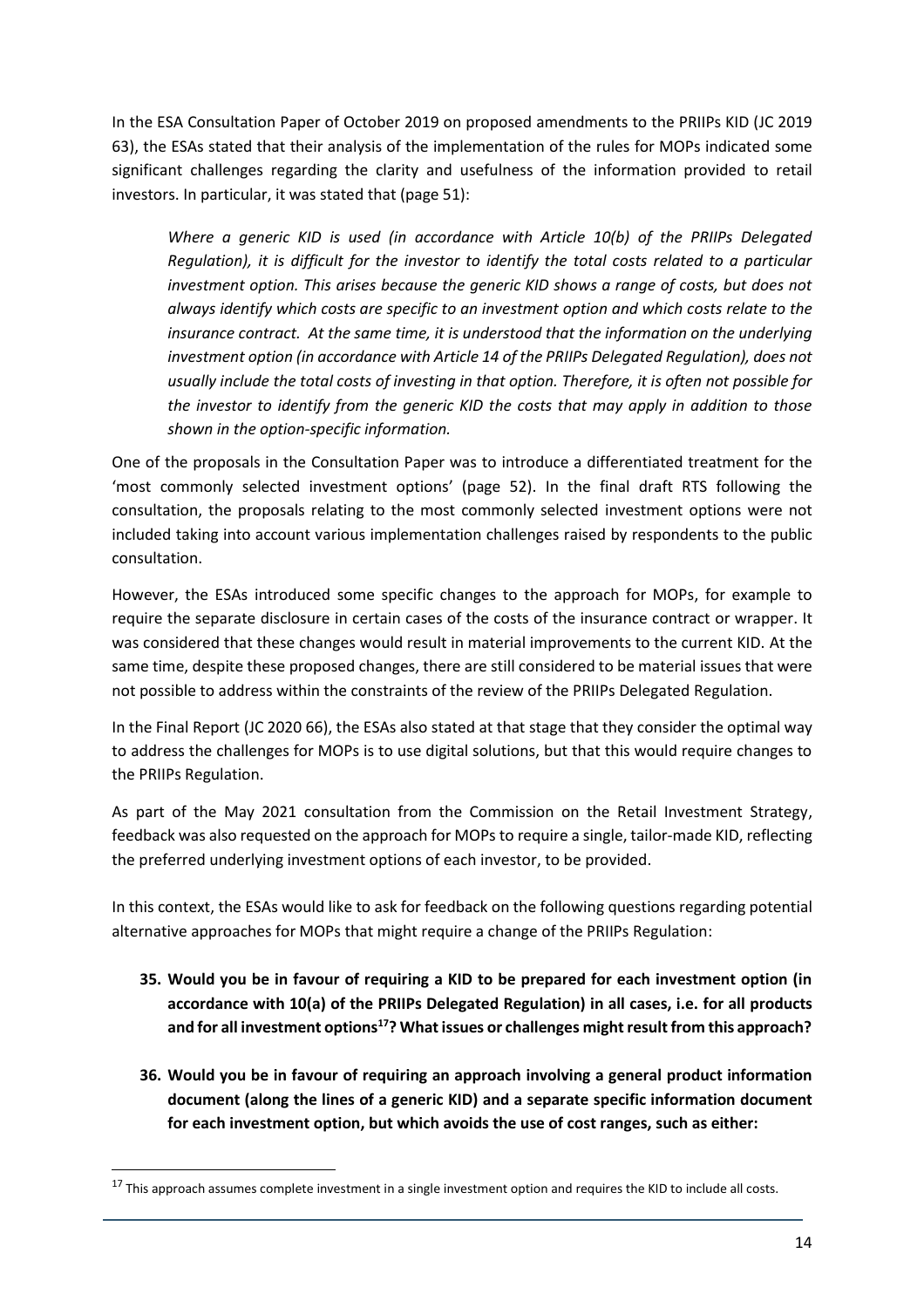In the ESA Consultation Paper of October 2019 on proposed amendments to the PRIIPs KID (JC 2019 63), the ESAs stated that their analysis of the implementation of the rules for MOPs indicated some significant challenges regarding the clarity and usefulness of the information provided to retail investors. In particular, it was stated that (page 51):

*Where a generic KID is used (in accordance with Article 10(b) of the PRIIPs Delegated Regulation), it is difficult for the investor to identify the total costs related to a particular investment option. This arises because the generic KID shows a range of costs, but does not always identify which costs are specific to an investment option and which costs relate to the insurance contract. At the same time, it is understood that the information on the underlying investment option (in accordance with Article 14 of the PRIIPs Delegated Regulation), does not usually include the total costs of investing in that option. Therefore, it is often not possible for the investor to identify from the generic KID the costs that may apply in addition to those shown in the option-specific information.*

One of the proposals in the Consultation Paper was to introduce a differentiated treatment for the 'most commonly selected investment options' (page 52). In the final draft RTS following the consultation, the proposals relating to the most commonly selected investment options were not included taking into account various implementation challenges raised by respondents to the public consultation.

However, the ESAs introduced some specific changes to the approach for MOPs, for example to require the separate disclosure in certain cases of the costs of the insurance contract or wrapper. It was considered that these changes would result in material improvements to the current KID. At the same time, despite these proposed changes, there are still considered to be material issues that were not possible to address within the constraints of the review of the PRIIPs Delegated Regulation.

In the Final Report (JC 2020 66), the ESAs also stated at that stage that they consider the optimal way to address the challenges for MOPs is to use digital solutions, but that this would require changes to the PRIIPs Regulation.

As part of the May 2021 consultation from the Commission on the Retail Investment Strategy, feedback was also requested on the approach for MOPs to require a single, tailor-made KID, reflecting the preferred underlying investment options of each investor, to be provided.

In this context, the ESAs would like to ask for feedback on the following questions regarding potential alternative approaches for MOPs that might require a change of the PRIIPs Regulation:

- **35. Would you be in favour of requiring a KID to be prepared for each investment option (in accordance with 10(a) of the PRIIPs Delegated Regulation) in all cases, i.e. for all products and for all investment options<sup>17</sup>? What issues or challenges might result from this approach?**
- **36. Would you be in favour of requiring an approach involving a general product information document (along the lines of a generic KID) and a separate specific information document for each investment option, but which avoids the use of cost ranges, such as either:**

 $17$  This approach assumes complete investment in a single investment option and requires the KID to include all costs.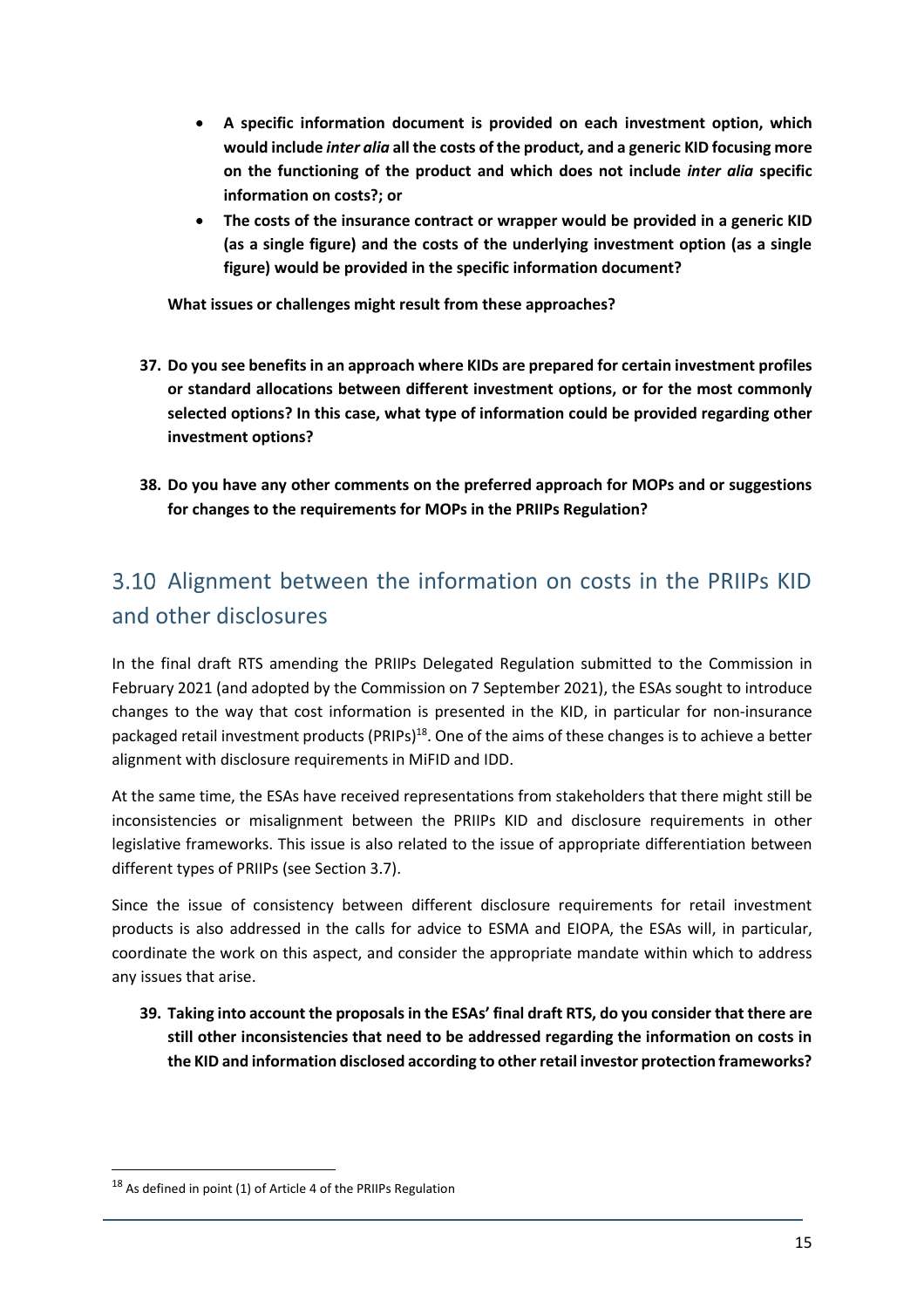- **A specific information document is provided on each investment option, which would include** *inter alia* **all the costs of the product, and a generic KID focusing more on the functioning of the product and which does not include** *inter alia* **specific information on costs?; or**
- **The costs of the insurance contract or wrapper would be provided in a generic KID (as a single figure) and the costs of the underlying investment option (as a single figure) would be provided in the specific information document?**

**What issues or challenges might result from these approaches?**

- **37. Do you see benefits in an approach where KIDs are prepared for certain investment profiles or standard allocations between different investment options, or for the most commonly selected options? In this case, what type of information could be provided regarding other investment options?**
- **38. Do you have any other comments on the preferred approach for MOPs and or suggestions for changes to the requirements for MOPs in the PRIIPs Regulation?**

## 3.10 Alignment between the information on costs in the PRIIPs KID and other disclosures

In the final draft RTS amending the PRIIPs Delegated Regulation submitted to the Commission in February 2021 (and adopted by the Commission on 7 September 2021), the ESAs sought to introduce changes to the way that cost information is presented in the KID, in particular for non-insurance packaged retail investment products (PRIPs)<sup>18</sup>. One of the aims of these changes is to achieve a better alignment with disclosure requirements in MiFID and IDD.

At the same time, the ESAs have received representations from stakeholders that there might still be inconsistencies or misalignment between the PRIIPs KID and disclosure requirements in other legislative frameworks. This issue is also related to the issue of appropriate differentiation between different types of PRIIPs (see Section 3.7).

Since the issue of consistency between different disclosure requirements for retail investment products is also addressed in the calls for advice to ESMA and EIOPA, the ESAs will, in particular, coordinate the work on this aspect, and consider the appropriate mandate within which to address any issues that arise.

**39. Taking into account the proposals in the ESAs' final draft RTS, do you consider that there are still other inconsistencies that need to be addressed regarding the information on costs in the KID and information disclosed according to other retail investor protection frameworks?** 

<sup>18</sup> As defined in point (1) of Article 4 of the PRIIPs Regulation